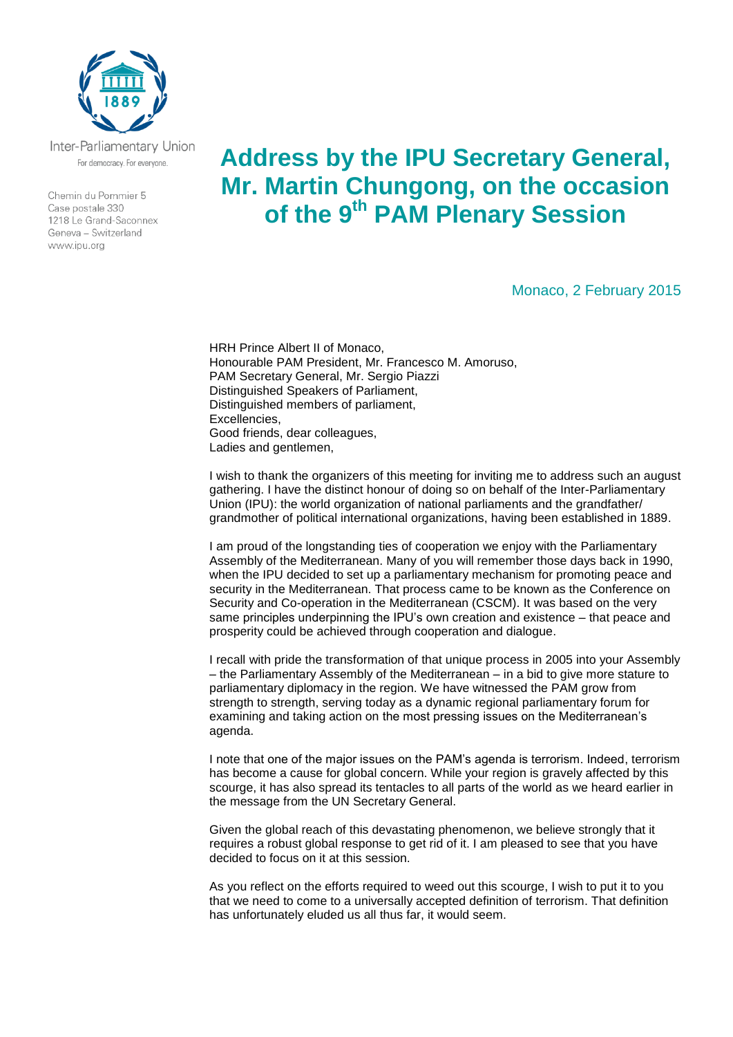

Inter-Parliamentary Union For democracy. For everyone.

Chemin du Pommier 5 Case postale 330 1218 Le Grand-Saconnex Geneva - Switzerland www.ipu.org

## **Address by the IPU Secretary General, Mr. Martin Chungong, on the occasion of the 9th PAM Plenary Session**

Monaco, 2 February 2015

HRH Prince Albert II of Monaco, Honourable PAM President, Mr. Francesco M. Amoruso, PAM Secretary General, Mr. Sergio Piazzi Distinguished Speakers of Parliament, Distinguished members of parliament, Excellencies, Good friends, dear colleagues, Ladies and gentlemen,

I wish to thank the organizers of this meeting for inviting me to address such an august gathering. I have the distinct honour of doing so on behalf of the Inter-Parliamentary Union (IPU): the world organization of national parliaments and the grandfather/ grandmother of political international organizations, having been established in 1889.

I am proud of the longstanding ties of cooperation we enjoy with the Parliamentary Assembly of the Mediterranean. Many of you will remember those days back in 1990, when the IPU decided to set up a parliamentary mechanism for promoting peace and security in the Mediterranean. That process came to be known as the Conference on Security and Co-operation in the Mediterranean (CSCM). It was based on the very same principles underpinning the IPU's own creation and existence – that peace and prosperity could be achieved through cooperation and dialogue.

I recall with pride the transformation of that unique process in 2005 into your Assembly – the Parliamentary Assembly of the Mediterranean – in a bid to give more stature to parliamentary diplomacy in the region. We have witnessed the PAM grow from strength to strength, serving today as a dynamic regional parliamentary forum for examining and taking action on the most pressing issues on the Mediterranean's agenda.

I note that one of the major issues on the PAM's agenda is terrorism. Indeed, terrorism has become a cause for global concern. While your region is gravely affected by this scourge, it has also spread its tentacles to all parts of the world as we heard earlier in the message from the UN Secretary General.

Given the global reach of this devastating phenomenon, we believe strongly that it requires a robust global response to get rid of it. I am pleased to see that you have decided to focus on it at this session.

As you reflect on the efforts required to weed out this scourge, I wish to put it to you that we need to come to a universally accepted definition of terrorism. That definition has unfortunately eluded us all thus far, it would seem.